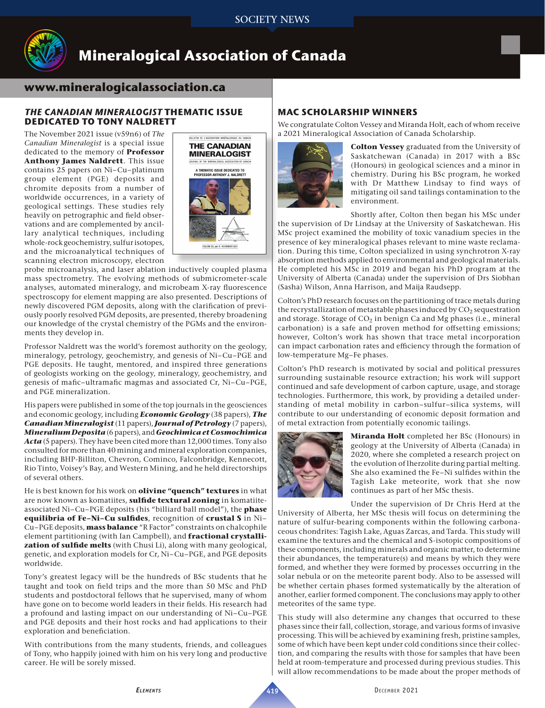

# **Mineralogical Association of Canada**

# **www.mineralogicalassociation.ca**

## *THE CANADIAN MINERALOGIST* **THEMATIC ISSUE DEDICATED TO TONY NALDRETT**

The November 2021 issue (v59n6) of *The Canadian Mineralogist* is a special issue dedicated to the memory of **Professor Anthony James Naldrett**. This issue contains 25 papers on Ni–Cu–platinum group element (PGE) deposits and chromite deposits from a number of worldwide occurrences, in a variety of geological settings. These studies rely heavily on petrographic and field observations and are complemented by ancillary analytical techniques, including whole-rock geochemistry, sulfur isotopes, and the microanalytical techniques of scanning electron microscopy, electron



probe microanalysis, and laser ablation inductively coupled plasma mass spectrometry. The evolving methods of submicrometer-scale analyses, automated mineralogy, and microbeam X-ray fluorescence spectroscopy for element mapping are also presented. Descriptions of newly discovered PGM deposits, along with the clarification of previously poorly resolved PGM deposits, are presented, thereby broadening our knowledge of the crystal chemistry of the PGMs and the environments they develop in.

Professor Naldrett was the world's foremost authority on the geology, mineralogy, petrology, geochemistry, and genesis of Ni–Cu–PGE and PGE deposits. He taught, mentored, and inspired three generations of geologists working on the geology, mineralogy, geochemistry, and genesis of mafic–ultramafic magmas and associated Cr, Ni–Cu–PGE, and PGE mineralization.

His papers were published in some of the top journals in the geosciences and economic geology, including *Economic Geology* (38 papers), *The Canadian Mineralogist* (11 papers), *Journal of Petrology* (7 papers), *Mineralium Deposita* (6 papers), and *Geochimica et Cosmochimica Acta* (5 papers). They have been cited more than 12,000 times. Tony also consulted for more than 40 mining and mineral exploration companies, including BHP-Billiton, Chevron, Cominco, Falconbridge, Kennecott, Rio Tinto, Voisey's Bay, and Western Mining, and he held directorships of several others.

He is best known for his work on **olivine "quench" textures** in what are now known as komatiites, **sulfide textural zoning** in komatiiteassociated Ni–Cu–PGE deposits (his "billiard ball model"), the **phase equilibria of Fe–Ni–Cu sulfides**, recognition of **crustal S** in Ni– Cu–PGE deposits, **mass balance** "R Factor" constraints on chalcophile element partitioning (with Ian Campbell), and **fractional crystallization of sulfide melts** (with Chusi Li), along with many geological, genetic, and exploration models for Cr, Ni–Cu–PGE, and PGE deposits worldwide.

Tony's greatest legacy will be the hundreds of BSc students that he taught and took on field trips and the more than 50 MSc and PhD students and postdoctoral fellows that he supervised, many of whom have gone on to become world leaders in their fields. His research had a profound and lasting impact on our understanding of Ni–Cu–PGE and PGE deposits and their host rocks and had applications to their exploration and beneficiation.

With contributions from the many students, friends, and colleagues of Tony, who happily joined with him on his very long and productive career. He will be sorely missed.

## **MAC SCHOLARSHIP WINNERS**

We congratulate Colton Vessey and Miranda Holt, each of whom receive a 2021 Mineralogical Association of Canada Scholarship.



**Colton Vessey** graduated from the University of Saskatchewan (Canada) in 2017 with a BSc (Honours) in geological sciences and a minor in chemistry. During his BSc program, he worked with Dr Matthew Lindsay to find ways of mitigating oil sand tailings contamination to the environment.

Shortly after, Colton then began his MSc under the supervision of Dr Lindsay at the University of Saskatchewan. His MSc project examined the mobility of toxic vanadium species in the presence of key mineralogical phases relevant to mine waste reclamation. During this time, Colton specialized in using synchrotron X-ray absorption methods applied to environmental and geological materials. He completed his MSc in 2019 and began his PhD program at the University of Alberta (Canada) under the supervision of Drs Siobhan (Sasha) Wilson, Anna Harrison, and Maija Raudsepp.

Colton's PhD research focuses on the partitioning of trace metals during the recrystallization of metastable phases induced by  $CO<sub>2</sub>$  sequestration and storage. Storage of  $CO<sub>2</sub>$  in benign Ca and Mg phases (i.e., mineral carbonation) is a safe and proven method for offsetting emissions; however, Colton's work has shown that trace metal incorporation can impact carbonation rates and efficiency through the formation of low-temperature Mg–Fe phases.

Colton's PhD research is motivated by social and political pressures surrounding sustainable resource extraction; his work will support continued and safe development of carbon capture, usage, and storage technologies. Furthermore, this work, by providing a detailed understanding of metal mobility in carbon–sulfur–silica systems, will contribute to our understanding of economic deposit formation and of metal extraction from potentially economic tailings.



**Miranda Holt** completed her BSc (Honours) in geology at the University of Alberta (Canada) in 2020, where she completed a research project on the evolution of lherzolite during partial melting. She also examined the Fe–Ni sulfides within the Tagish Lake meteorite, work that she now continues as part of her MSc thesis.

Under the supervision of Dr Chris Herd at the

University of Alberta, her MSc thesis will focus on determining the nature of sulfur-bearing components within the following carbonaceous chondrites: Tagish Lake, Aguas Zarcas, and Tarda. This study will examine the textures and the chemical and S-isotopic compositions of these components, including minerals and organic matter, to determine their abundances, the temperature(s) and means by which they were formed, and whether they were formed by processes occurring in the solar nebula or on the meteorite parent body. Also to be assessed will be whether certain phases formed systematically by the alteration of another, earlier formed component. The conclusions may apply to other meteorites of the same type.

This study will also determine any changes that occurred to these phases since their fall, collection, storage, and various forms of invasive processing. This will be achieved by examining fresh, pristine samples, some of which have been kept under cold conditions since their collection, and comparing the results with those for samples that have been held at room-temperature and processed during previous studies. This will allow recommendations to be made about the proper methods of